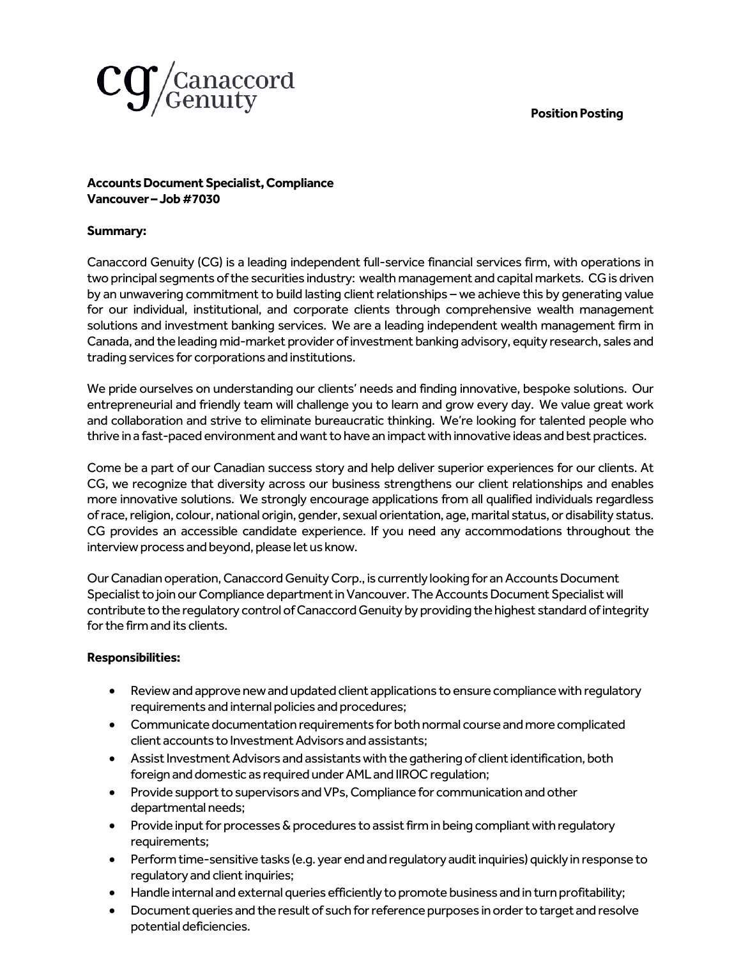# **Position Posting**



## **Accounts Document Specialist,Compliance Vancouver – Job #7030**

## **Summary:**

Canaccord Genuity (CG) is a leading independent full-service financial services firm, with operations in two principal segments of the securities industry: wealth management and capital markets. CG is driven by an unwavering commitment to build lasting client relationships – we achieve this by generating value for our individual, institutional, and corporate clients through comprehensive wealth management solutions and investment banking services. We are a leading independent wealth management firm in Canada, and the leading mid-market provider of investment banking advisory, equity research, sales and trading services for corporations and institutions.

We pride ourselves on understanding our clients' needs and finding innovative, bespoke solutions. Our entrepreneurial and friendly team will challenge you to learn and grow every day. We value great work and collaboration and strive to eliminate bureaucratic thinking. We're looking for talented people who thrive in a fast-paced environment and want to have an impact with innovative ideas and best practices.

Come be a part of our Canadian success story and help deliver superior experiences for our clients. At CG, we recognize that diversity across our business strengthens our client relationships and enables more innovative solutions. We strongly encourage applications from all qualified individuals regardless of race, religion, colour, national origin, gender, sexual orientation, age, marital status, or disability status. CG provides an accessible candidate experience. If you need any accommodations throughout the interview process and beyond, please let us know.

Our Canadian operation, Canaccord Genuity Corp., is currently looking for an Accounts Document Specialist to join our Compliance department in Vancouver. The Accounts Document Specialist will contribute to the regulatory control of Canaccord Genuity by providing the highest standard of integrity for the firm and its clients.

#### **Responsibilities:**

- Review and approve new and updated client applications to ensure compliance with regulatory requirements and internal policies and procedures;
- Communicate documentation requirements for both normal course and more complicated client accounts to Investment Advisors and assistants;
- Assist Investment Advisors and assistants with the gathering of client identification, both foreign and domestic as required under AML and IIROC regulation;
- Provide support to supervisors and VPs, Compliance for communication and other departmental needs;
- Provide input for processes & procedures to assist firm in being compliant with regulatory requirements;
- Perform time-sensitive tasks (e.g. year end and regulatory audit inquiries) quickly in response to regulatory and client inquiries;
- Handle internal and external queries efficiently to promote business and in turn profitability;
- Document queries and the result of such for reference purposes in order to target and resolve potential deficiencies.